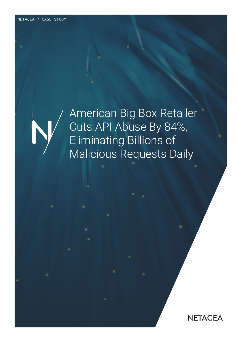

American Big Box Retailer Cuts API Abuse By 84%, Eliminating Billions of Malicious Requests Daily

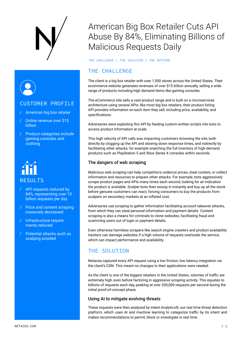

#### CUSTOMER PROFILE

- / American big box retailer
- / Online revenue over \$15 billion
- / Product categories include gaming consoles and clothing

# RESULTS

- / API requests reduced by 84%, representing over 10 billion requests per day
- / Price and content scraping massively decreased
- / Infrastructure requirements reduced
- / Potential attacks such as scalping avoided

## American Big Box Retailer Cuts API Abuse By 84%, Eliminating Billions of Malicious Requests Daily

THE CHALLENGE | THE SOLUTION | THE OUTCOME

### THE CHALLENGE

The client is a big box retailer with over 1,500 stores across the United States. Their ecommerce website generates revenues of over \$15 billion annually, selling a wide range of products including high demand items like gaming consoles.

The eCommerce site sells a vast product range and is built on a microservices architecture using several APIs; like most big box retailers, their product listing API provides information on each item they sell, including price, availability, and specifications.

Adversaries were exploiting this API by feeding custom-written scripts into bots to access product information at scale.

This high velocity of API calls was impacting customers browsing the site, both directly by clogging up the API and slowing down response times, and indirectly by facilitating other attacks, for example snatching the full inventory of high-demand products such as PlayStation 5 and Xbox Series X consoles within seconds.

#### The dangers of web scraping

Malicious web scraping can help competitors undercut prices, steal content, or collect information and resources to prepare other attacks. For example, bots aggressively scrape product pages and APIs many times each second, looking for an indication the product is available. Scalper bots then swoop in instantly and buy up all the stock before genuine customers can react, forcing consumers to buy the products from scalpers on secondary markets at an inflated cost.

Adversaries use scraping to gather information facilitating account takeover attacks, from which they can steal personal information and payment details. Content scraping is also a means for criminals to clone websites, facilitating fraud and scamming users out of login or payment details.

Even otherwise harmless scrapers like search engine crawlers and product availability trackers can damage websites if a high volume of requests overloads the service, which can impact performance and availability.

### THE SOLUTION

Netacea captured every API request using a low friction, low latency integration via the client's CDN. This meant no changes to their applications were needed.

As the client is one of the biggest retailers in the United States, volumes of traffic are extremely high, even before factoring in aggressive scraping activity. This equates to billions of requests each day, peaking at over 200,000 requests per second during the initial proof-of-concept phase.

#### Using AI to mitigate evolving threats

These requests were then analyzed by Intent Analytics®, our real time threat detection platform, which uses AI and machine learning to categorize traffic by its intent and makes recommendations to permit, block or investigate in real time.